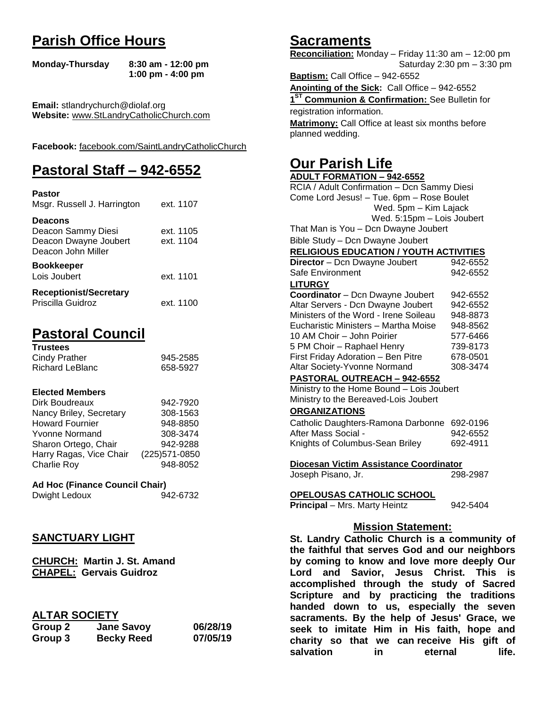## **Parish Office Hours**

```
Monday-Thursday 8:30 am - 12:00 pm
       1:00 pm - 4:00 pm
```
**Email:** stlandrychurch@diolaf.org **Website:** [www.StLandryCatholicChurch.com](http://www.stlandrycatholicchurch.com/)

**Facebook:** [facebook.com/SaintLandryCatholicChurch](http://facebook.com/SaintLandryCatholicChurch)

# **Pastoral Staff – 942-6552**

| <b>Pastor</b><br>Msgr. Russell J. Harrington                                        | ext. 1107              |
|-------------------------------------------------------------------------------------|------------------------|
| <b>Deacons</b><br>Deacon Sammy Diesi<br>Deacon Dwayne Joubert<br>Deacon John Miller | ext. 1105<br>ext. 1104 |
| <b>Bookkeeper</b><br>Lois Joubert                                                   | ext. 1101              |
| <b>Receptionist/Secretary</b><br>Priscilla Guidroz                                  | ext. 1100              |

# **Pastoral Council**

| <b>Trustees</b> |          |
|-----------------|----------|
| Cindy Prather   | 945-2585 |
| Richard LeBlanc | 658-5927 |

#### **Elected Members**

| Dirk Boudreaux          | 942-7920       |
|-------------------------|----------------|
| Nancy Briley, Secretary | 308-1563       |
| <b>Howard Fournier</b>  | 948-8850       |
| <b>Yvonne Normand</b>   | 308-3474       |
| Sharon Ortego, Chair    | 942-9288       |
| Harry Ragas, Vice Chair | (225) 571-0850 |
| <b>Charlie Roy</b>      | 948-8052       |

## **Ad Hoc (Finance Council Chair)**

| Dwight Ledoux | 942-6732 |
|---------------|----------|
|               |          |

## **SANCTUARY LIGHT**

**CHURCH: Martin J. St. Amand CHAPEL: Gervais Guidroz**

## **ALTAR SOCIETY**

| Group 2 | <b>Jane Savoy</b> | 06/28/19 |
|---------|-------------------|----------|
| Group 3 | <b>Becky Reed</b> | 07/05/19 |

## **Sacraments**

**Reconciliation:** Monday – Friday 11:30 am – 12:00 pm Saturday 2:30 pm – 3:30 pm

**Baptism:** Call Office – 942-6552 **Anointing of the Sick:** Call Office – 942-6552 **1 ST Communion & Confirmation:** See Bulletin for registration information. **Matrimony:** Call Office at least six months before planned wedding.

## **Our Parish Life**

| <b>ADULT FORMATION - 942-6552</b>              |                   |
|------------------------------------------------|-------------------|
| RCIA / Adult Confirmation - Dcn Sammy Diesi    |                   |
| Come Lord Jesus! - Tue. 6pm - Rose Boulet      |                   |
| Wed. 5pm - Kim Lajack                          |                   |
| Wed. 5:15pm - Lois Joubert                     |                   |
| That Man is You - Dcn Dwayne Joubert           |                   |
| Bible Study - Dcn Dwayne Joubert               |                   |
| <b>RELIGIOUS EDUCATION / YOUTH ACTIVITIES</b>  |                   |
| Director - Dcn Dwayne Joubert                  | 942-6552          |
| Safe Environment                               | 942-6552          |
| <b>LITURGY</b>                                 |                   |
| Coordinator - Dcn Dwayne Joubert               | 942-6552          |
| Altar Servers - Dcn Dwayne Joubert             | 942-6552          |
| Ministers of the Word - Irene Soileau          | 948-8873          |
| Eucharistic Ministers - Martha Moise           | 948-8562          |
| 10 AM Choir - John Poirier                     | 577-6466          |
| 5 PM Choir - Raphael Henry                     | 739-8173          |
| First Friday Adoration - Ben Pitre             | 678-0501          |
| Altar Society-Yvonne Normand                   | 308-3474          |
| PASTORAL OUTREACH - 942-6552                   |                   |
| Ministry to the Home Bound - Lois Joubert      |                   |
| Ministry to the Bereaved-Lois Joubert          |                   |
| <b>ORGANIZATIONS</b>                           |                   |
| Catholic Daughters-Ramona Darbonne 692-0196    |                   |
| After Mass Social -                            | 942-6552          |
| Knights of Columbus-Sean Briley                | 692-4911          |
|                                                |                   |
| Diocesan Victim Assistance Coordinator         |                   |
| Joseph Pisano, Jr.                             | 298-2987          |
| OPELOUSAS CATHOLIC SCHOOL                      |                   |
| <b>Principal</b> - Mrs. Marty Heintz           | 942-5404          |
|                                                |                   |
| <b>Mission Statement:</b>                      |                   |
| St. Landry Catholic Church is a community of   |                   |
| the faithful that serves God and our neighbors |                   |
| by coming to know and love more deeply Our     |                   |
| Savior, Jesus Christ.<br>Lord<br>and           | <b>This</b><br>is |
| accomplished through the study of Sacred       |                   |
|                                                |                   |
| Scripture and by practicing the traditions     |                   |

**handed down to us, especially the seven sacraments. By the help of Jesus' Grace, we seek to imitate Him in His faith, hope and charity so that we can receive His gift of salvation in** eternal life.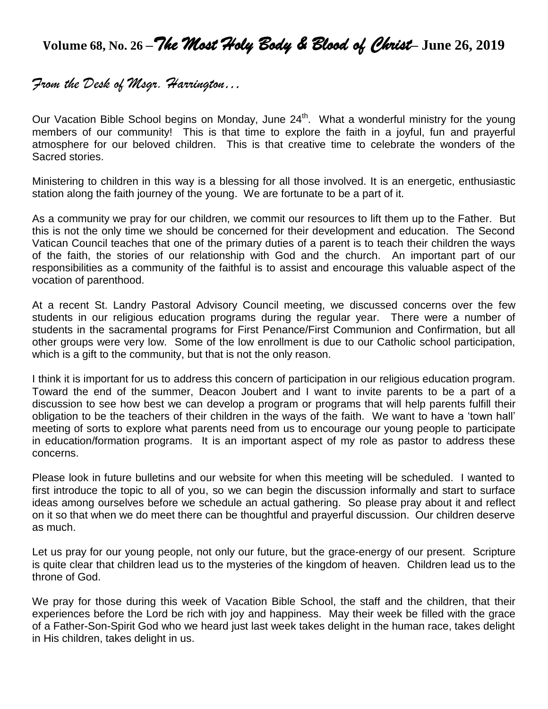# **Volume 68, No. 26 –***The Most Holy Body & Blood of Christ***– June 26, 2019**

## *From the Desk of Msgr. Harrington…*

Our Vacation Bible School begins on Monday, June 24<sup>th</sup>. What a wonderful ministry for the young members of our community! This is that time to explore the faith in a joyful, fun and prayerful atmosphere for our beloved children. This is that creative time to celebrate the wonders of the Sacred stories.

Ministering to children in this way is a blessing for all those involved. It is an energetic, enthusiastic station along the faith journey of the young. We are fortunate to be a part of it.

As a community we pray for our children, we commit our resources to lift them up to the Father. But this is not the only time we should be concerned for their development and education. The Second Vatican Council teaches that one of the primary duties of a parent is to teach their children the ways of the faith, the stories of our relationship with God and the church. An important part of our responsibilities as a community of the faithful is to assist and encourage this valuable aspect of the vocation of parenthood.

At a recent St. Landry Pastoral Advisory Council meeting, we discussed concerns over the few students in our religious education programs during the regular year. There were a number of students in the sacramental programs for First Penance/First Communion and Confirmation, but all other groups were very low. Some of the low enrollment is due to our Catholic school participation, which is a gift to the community, but that is not the only reason.

I think it is important for us to address this concern of participation in our religious education program. Toward the end of the summer, Deacon Joubert and I want to invite parents to be a part of a discussion to see how best we can develop a program or programs that will help parents fulfill their obligation to be the teachers of their children in the ways of the faith. We want to have a 'town hall' meeting of sorts to explore what parents need from us to encourage our young people to participate in education/formation programs. It is an important aspect of my role as pastor to address these concerns.

Please look in future bulletins and our website for when this meeting will be scheduled. I wanted to first introduce the topic to all of you, so we can begin the discussion informally and start to surface ideas among ourselves before we schedule an actual gathering. So please pray about it and reflect on it so that when we do meet there can be thoughtful and prayerful discussion. Our children deserve as much.

Let us pray for our young people, not only our future, but the grace-energy of our present. Scripture is quite clear that children lead us to the mysteries of the kingdom of heaven. Children lead us to the throne of God.

We pray for those during this week of Vacation Bible School, the staff and the children, that their experiences before the Lord be rich with joy and happiness. May their week be filled with the grace of a Father-Son-Spirit God who we heard just last week takes delight in the human race, takes delight in His children, takes delight in us.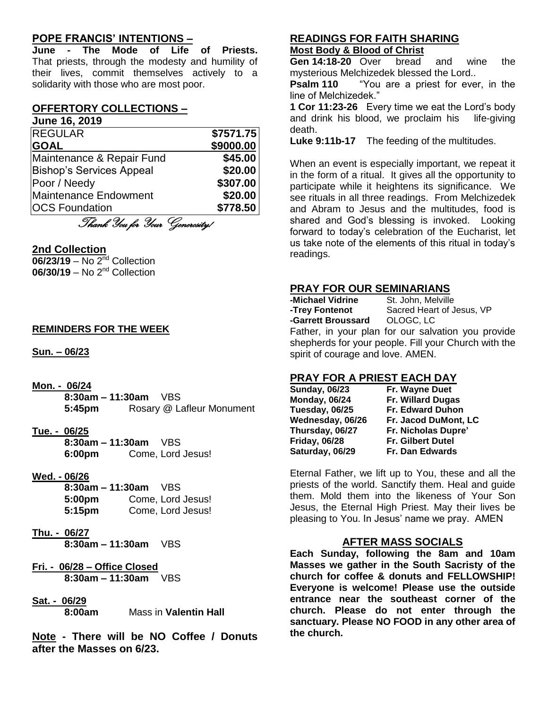## **POPE FRANCIS' INTENTIONS –**

**June - The Mode of Life of Priests.** That priests, through the modesty and humility of their lives, commit themselves actively to a solidarity with those who are most poor.

### **OFFERTORY COLLECTIONS –**

**June 16, 2019**

| <b>IREGULAR</b>                 | \$7571.75 |
|---------------------------------|-----------|
| <b>GOAL</b>                     | \$9000.00 |
| Maintenance & Repair Fund       | \$45.00   |
| <b>Bishop's Services Appeal</b> | \$20.00   |
| Poor / Needy                    | \$307.00  |
| <b>Maintenance Endowment</b>    | \$20.00   |
| <b>OCS Foundation</b>           | \$778.50  |

Thank You for Your Generosity!

#### **2nd Collection**

**06/23/19** – No 2<sup>nd</sup> Collection **06/30/19** – No 2<sup>nd</sup> Collection

#### **REMINDERS FOR THE WEEK**

**Sun. – 06/23**

- **Mon. - 06/24**
	- **8:30am – 11:30am** VBS **5:45pm** Rosary @ Lafleur Monument
- **Tue. - 06/25 8:30am – 11:30am** VBS **6:00pm** Come, Lord Jesus!
- **Wed. - 06/26**

**8:30am – 11:30am** VBS **5:00pm** Come, Lord Jesus! **5:15pm** Come, Lord Jesus!

- **Thu. - 06/27 8:30am – 11:30am** VBS
- **Fri. - 06/28 – Office Closed 8:30am – 11:30am** VBS
- **Sat. - 06/29**

**8:00am** Mass in **Valentin Hall**

**Note - There will be NO Coffee / Donuts after the Masses on 6/23.**

#### **READINGS FOR FAITH SHARING Most Body & Blood of Christ**

**Gen 14:18-20** Over bread and wine the mysterious Melchizedek blessed the Lord..

**Psalm 110** "You are a priest for ever, in the line of Melchizedek."

**1 Cor 11:23-26** Every time we eat the Lord's body and drink his blood, we proclaim his life-giving death.

**Luke 9:11b-17** The feeding of the multitudes.

When an event is especially important, we repeat it in the form of a ritual. It gives all the opportunity to participate while it heightens its significance. We see rituals in all three readings. From Melchizedek and Abram to Jesus and the multitudes, food is shared and God's blessing is invoked. Looking forward to today's celebration of the Eucharist, let us take note of the elements of this ritual in today's readings.

### **PRAY FOR OUR SEMINARIANS**

**-Michael Vidrine** St. John, Melville<br>**-Trev Fontenot** Sacred Heart of J **-Garrett Broussard** OLOGC, LC

Sacred Heart of Jesus, VP

Father, in your plan for our salvation you provide shepherds for your people. Fill your Church with the spirit of courage and love. AMEN.

## **PRAY FOR A PRIEST EACH DAY**

| <b>Sunday, 06/23</b> | Fr. Wayne Duet           |
|----------------------|--------------------------|
| <b>Monday, 06/24</b> | Fr. Willard Dugas        |
| Tuesday, 06/25       | <b>Fr. Edward Duhon</b>  |
| Wednesday, 06/26     | Fr. Jacod DuMont, LC     |
| Thursday, 06/27      | Fr. Nicholas Dupre'      |
| <b>Friday, 06/28</b> | <b>Fr. Gilbert Dutel</b> |
| Saturday, 06/29      | Fr. Dan Edwards          |
|                      |                          |

Eternal Father, we lift up to You, these and all the priests of the world. Sanctify them. Heal and guide them. Mold them into the likeness of Your Son Jesus, the Eternal High Priest. May their lives be pleasing to You. In Jesus' name we pray. AMEN

## **AFTER MASS SOCIALS**

**Each Sunday, following the 8am and 10am Masses we gather in the South Sacristy of the church for coffee & donuts and FELLOWSHIP! Everyone is welcome! Please use the outside entrance near the southeast corner of the church. Please do not enter through the sanctuary. Please NO FOOD in any other area of the church.**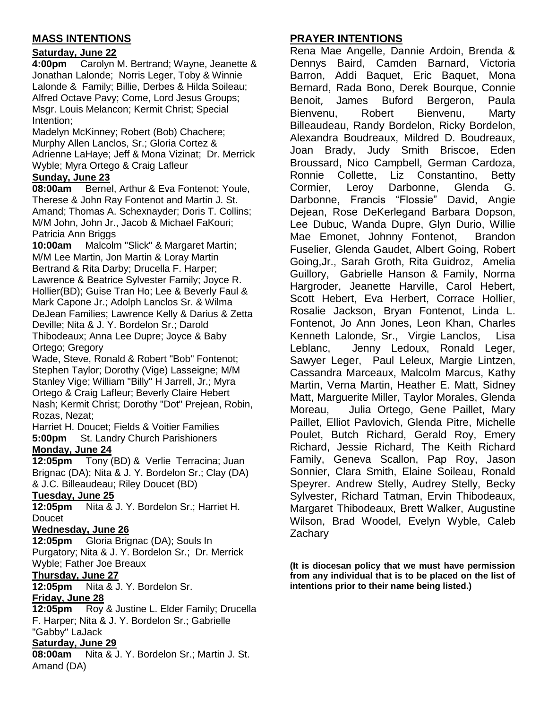## **MASS INTENTIONS**

## **Saturday, June 22**

**4:00pm** Carolyn M. Bertrand; Wayne, Jeanette & Jonathan Lalonde; Norris Leger, Toby & Winnie Lalonde & Family; Billie, Derbes & Hilda Soileau; Alfred Octave Pavy; Come, Lord Jesus Groups; Msgr. Louis Melancon; Kermit Christ; Special Intention;

Madelyn McKinney; Robert (Bob) Chachere; Murphy Allen Lanclos, Sr.; Gloria Cortez & Adrienne LaHaye; Jeff & Mona Vizinat; Dr. Merrick Wyble; Myra Ortego & Craig Lafleur

## **Sunday, June 23**

**08:00am** Bernel, Arthur & Eva Fontenot; Youle, Therese & John Ray Fontenot and Martin J. St. Amand; Thomas A. Schexnayder; Doris T. Collins; M/M John, John Jr., Jacob & Michael FaKouri; Patricia Ann Briggs

**10:00am** Malcolm "Slick" & Margaret Martin; M/M Lee Martin, Jon Martin & Loray Martin Bertrand & Rita Darby; Drucella F. Harper; Lawrence & Beatrice Sylvester Family; Joyce R. Hollier(BD); Guise Tran Ho; Lee & Beverly Faul & Mark Capone Jr.; Adolph Lanclos Sr. & Wilma DeJean Families; Lawrence Kelly & Darius & Zetta Deville; Nita & J. Y. Bordelon Sr.; Darold Thibodeaux; Anna Lee Dupre; Joyce & Baby Ortego; Gregory

Wade, Steve, Ronald & Robert "Bob" Fontenot; Stephen Taylor; Dorothy (Vige) Lasseigne; M/M Stanley Vige; William "Billy" H Jarrell, Jr.; Myra Ortego & Craig Lafleur; Beverly Claire Hebert Nash; Kermit Christ; Dorothy "Dot" Prejean, Robin, Rozas, Nezat;

Harriet H. Doucet; Fields & Voitier Families **5:00pm** St. Landry Church Parishioners **Monday, June 24**

**12:05pm** Tony (BD) & Verlie Terracina; Juan Brignac (DA); Nita & J. Y. Bordelon Sr.; Clay (DA) & J.C. Billeaudeau; Riley Doucet (BD)

## **Tuesday, June 25**

**12:05pm** Nita & J. Y. Bordelon Sr.; Harriet H. **Doucet** 

## **Wednesday, June 26**

**12:05pm** Gloria Brignac (DA); Souls In Purgatory; Nita & J. Y. Bordelon Sr.; Dr. Merrick Wyble; Father Joe Breaux

## **Thursday, June 27**

**12:05pm** Nita & J. Y. Bordelon Sr. **Friday, June 28**

**12:05pm** Roy & Justine L. Elder Family; Drucella F. Harper; Nita & J. Y. Bordelon Sr.; Gabrielle "Gabby" LaJack

#### **Saturday, June 29**

**08:00am** Nita & J. Y. Bordelon Sr.; Martin J. St. Amand (DA)

## **PRAYER INTENTIONS**

Rena Mae Angelle, Dannie Ardoin, Brenda & Dennys Baird, Camden Barnard, Victoria Barron, Addi Baquet, Eric Baquet, Mona Bernard, Rada Bono, Derek Bourque, Connie Benoit, James Buford Bergeron, Paula Bienvenu, Robert Bienvenu, Marty Billeaudeau, Randy Bordelon, Ricky Bordelon, Alexandra Boudreaux, Mildred D. Boudreaux, Joan Brady, Judy Smith Briscoe, Eden Broussard, Nico Campbell, German Cardoza, Ronnie Collette, Liz Constantino, Betty Cormier, Leroy Darbonne, Glenda G. Darbonne, Francis "Flossie" David, Angie Dejean, Rose DeKerlegand Barbara Dopson, Lee Dubuc, Wanda Dupre, Glyn Durio, Willie Mae Emonet, Johnny Fontenot, Brandon Fuselier, Glenda Gaudet, Albert Going, Robert Going,Jr., Sarah Groth, Rita Guidroz, Amelia Guillory, Gabrielle Hanson & Family, Norma Hargroder, Jeanette Harville, Carol Hebert, Scott Hebert, Eva Herbert, Corrace Hollier, Rosalie Jackson, Bryan Fontenot, Linda L. Fontenot, Jo Ann Jones, Leon Khan, Charles Kenneth Lalonde, Sr., Virgie Lanclos, Lisa Leblanc, Jenny Ledoux, Ronald Leger, Sawyer Leger, Paul Leleux, Margie Lintzen, Cassandra Marceaux, Malcolm Marcus, Kathy Martin, Verna Martin, Heather E. Matt, Sidney Matt, Marguerite Miller, Taylor Morales, Glenda Moreau, Julia Ortego, Gene Paillet, Mary Paillet, Elliot Pavlovich, Glenda Pitre, Michelle Poulet, Butch Richard, Gerald Roy, Emery Richard, Jessie Richard, The Keith Richard Family, Geneva Scallon, Pap Roy, Jason Sonnier, Clara Smith, Elaine Soileau, Ronald Speyrer. Andrew Stelly, Audrey Stelly, Becky Sylvester, Richard Tatman, Ervin Thibodeaux, Margaret Thibodeaux, Brett Walker, Augustine Wilson, Brad Woodel, Evelyn Wyble, Caleb **Zachary** 

**(It is diocesan policy that we must have permission from any individual that is to be placed on the list of intentions prior to their name being listed.)**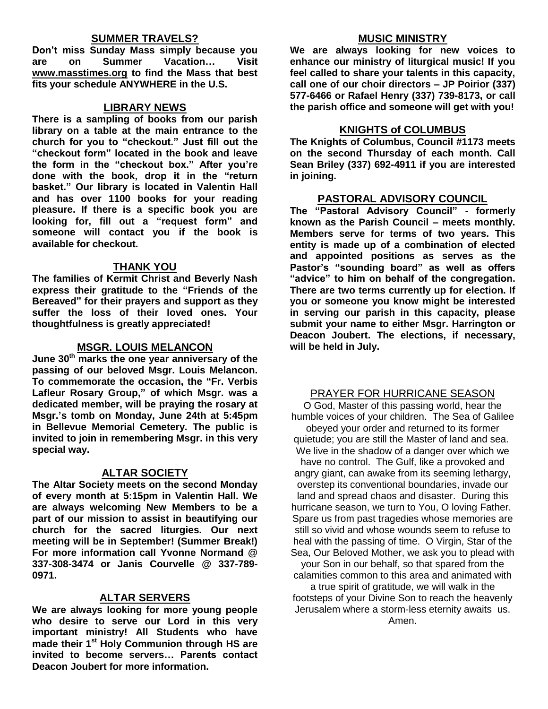#### **SUMMER TRAVELS?**

**Don't miss Sunday Mass simply because you are on Summer Vacation… Visit [www.masstimes.org](http://www.masstimes.org/) to find the Mass that best fits your schedule ANYWHERE in the U.S.**

#### **LIBRARY NEWS**

**There is a sampling of books from our parish library on a table at the main entrance to the church for you to "checkout." Just fill out the "checkout form" located in the book and leave the form in the "checkout box." After you're done with the book, drop it in the "return basket." Our library is located in Valentin Hall and has over 1100 books for your reading pleasure. If there is a specific book you are looking for, fill out a "request form" and someone will contact you if the book is available for checkout.**

#### **THANK YOU**

**The families of Kermit Christ and Beverly Nash express their gratitude to the "Friends of the Bereaved" for their prayers and support as they suffer the loss of their loved ones. Your thoughtfulness is greatly appreciated!**

#### **MSGR. LOUIS MELANCON**

**June 30th marks the one year anniversary of the passing of our beloved Msgr. Louis Melancon. To commemorate the occasion, the "Fr. Verbis Lafleur Rosary Group," of which Msgr. was a dedicated member, will be praying the rosary at Msgr.'s tomb on Monday, June 24th at 5:45pm in Bellevue Memorial Cemetery. The public is invited to join in remembering Msgr. in this very special way.**

#### **ALTAR SOCIETY**

**The Altar Society meets on the second Monday of every month at 5:15pm in Valentin Hall. We are always welcoming New Members to be a part of our mission to assist in beautifying our church for the sacred liturgies. Our next meeting will be in September! (Summer Break!) For more information call Yvonne Normand @ 337-308-3474 or Janis Courvelle @ 337-789- 0971.** 

## **ALTAR SERVERS**

**We are always looking for more young people who desire to serve our Lord in this very important ministry! All Students who have made their 1st Holy Communion through HS are invited to become servers… Parents contact Deacon Joubert for more information.**

#### **MUSIC MINISTRY**

**We are always looking for new voices to enhance our ministry of liturgical music! If you feel called to share your talents in this capacity, call one of our choir directors – JP Poirior (337) 577-6466 or Rafael Henry (337) 739-8173, or call the parish office and someone will get with you!**

#### **KNIGHTS of COLUMBUS**

**The Knights of Columbus, Council #1173 meets on the second Thursday of each month. Call Sean Briley (337) 692-4911 if you are interested in joining.** 

#### **PASTORAL ADVISORY COUNCIL**

**The "Pastoral Advisory Council" - formerly known as the Parish Council – meets monthly. Members serve for terms of two years. This entity is made up of a combination of elected and appointed positions as serves as the Pastor's "sounding board" as well as offers "advice" to him on behalf of the congregation. There are two terms currently up for election. If you or someone you know might be interested in serving our parish in this capacity, please submit your name to either Msgr. Harrington or Deacon Joubert. The elections, if necessary, will be held in July.** 

#### PRAYER FOR HURRICANE SEASON

O God, Master of this passing world, hear the humble voices of your children. The Sea of Galilee obeyed your order and returned to its former quietude; you are still the Master of land and sea. We live in the shadow of a danger over which we have no control. The Gulf, like a provoked and angry giant, can awake from its seeming lethargy, overstep its conventional boundaries, invade our land and spread chaos and disaster. During this hurricane season, we turn to You, O loving Father. Spare us from past tragedies whose memories are still so vivid and whose wounds seem to refuse to heal with the passing of time. O Virgin, Star of the Sea, Our Beloved Mother, we ask you to plead with your Son in our behalf, so that spared from the calamities common to this area and animated with

a true spirit of gratitude, we will walk in the footsteps of your Divine Son to reach the heavenly Jerusalem where a storm-less eternity awaits us. Amen.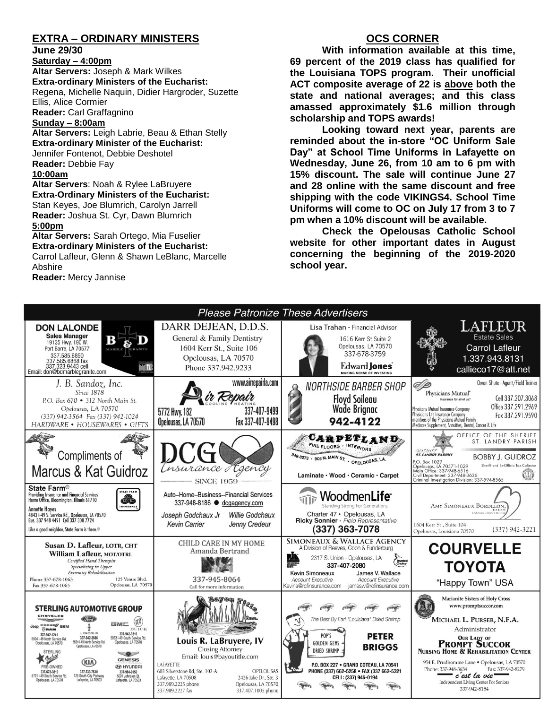## **EXTRA – ORDINARY MINISTERS**

**June 29/30**

**Saturday – 4:00pm Altar Servers:** Joseph & Mark Wilkes **Extra-ordinary Ministers of the Eucharist:**  Regena, Michelle Naquin, Didier Hargroder, Suzette Ellis, Alice Cormier **Reader:** Carl Graffagnino **Sunday – 8:00am**

**Altar Servers:** Leigh Labrie, Beau & Ethan Stelly **Extra-ordinary Minister of the Eucharist:** Jennifer Fontenot, Debbie Deshotel **Reader:** Debbie Fay **10:00am Altar Servers**: Noah & Rylee LaBruyere

**Extra-Ordinary Ministers of the Eucharist:** Stan Keyes, Joe Blumrich, Carolyn Jarrell **Reader:** Joshua St. Cyr, Dawn Blumrich

#### **5:00pm**

**Altar Servers:** Sarah Ortego, Mia Fuselier **Extra-ordinary Ministers of the Eucharist:** Carrol Lafleur, Glenn & Shawn LeBlanc, Marcelle

Abshire

**Reader:** Mercy Jannise

## **OCS CORNER**

**With information available at this time, 69 percent of the 2019 class has qualified for the Louisiana TOPS program. Their unofficial ACT composite average of 22 is above both the state and national averages; and this class amassed approximately \$1.6 million through scholarship and TOPS awards!**

**Looking toward next year, parents are reminded about the in-store "OC Uniform Sale Day" at School Time Uniforms in Lafayette on Wednesday, June 26, from 10 am to 6 pm with 15% discount. The sale will continue June 27 and 28 online with the same discount and free shipping with the code VIKINGS4. School Time Uniforms will come to OC on July 17 from 3 to 7 pm when a 10% discount will be available.**

**Check the Opelousas Catholic School website for other important dates in August concerning the beginning of the 2019-2020 school year.**